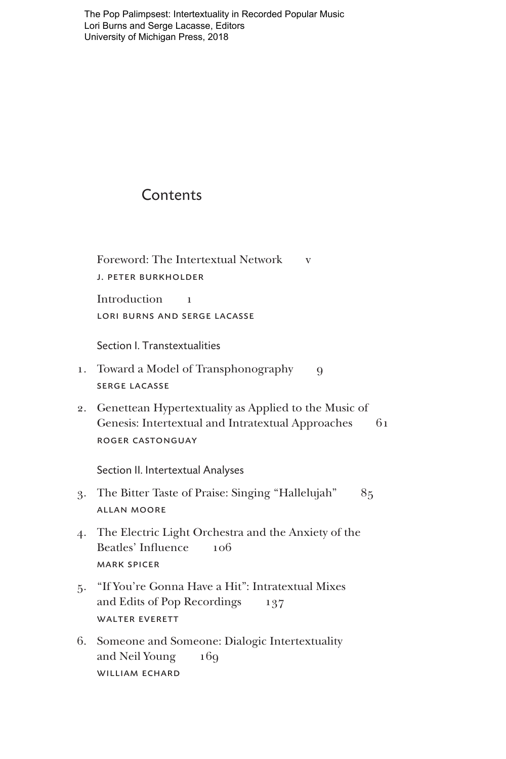[The Pop Palimpsest: Intertextuality in Recorded Popular Music](https://www.press.umich.edu/9755813/pop_palimpsest)  Lori Burns and Serge Lacasse, Editors University of Michigan Press, 2018

## **Contents**

Foreword: The Intertextual Network v j. peter burkholder Introduction 1 lori burns and serge lacasse

Section I. Transtextualities

- 1. Toward a Model of Transphonography 9 serge lacasse
- 2. Genettean Hypertextuality as Applied to the Music of Genesis: Intertextual and Intratextual Approaches 61 roger castonguay

Section II. Intertextual Analyses

- 3. The Bitter Taste of Praise: Singing "Hallelujah" 85 allan moore
- 4. The Electric Light Orchestra and the Anxiety of the Beatles' Influence 106 mark spicer
- 5. "If You're Gonna Have a Hit": Intratextual Mixes and Edits of Pop Recordings 137 walter everett
- 6. Someone and Someone: Dialogic Intertextuality and Neil Young 169 william echard